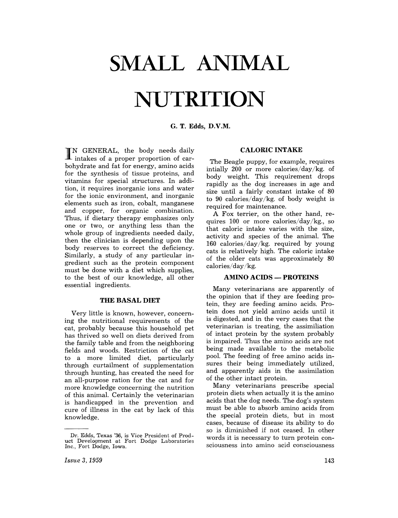# **SMALL ANIMAL NUTRITION**

## G. T. Edds, D.V.M.

IN GENERAL, the body needs daily intakes of a proper proportion of carbohydrate and fat for energy, amino acids for the synthesis of tissue proteins, and vitamins for special structures. In addition, it requires inorganic ions and water for the ionic environment, and inorganic ,elements such as iron, cobalt, manganese and copper, for organic combination. Thus, if dietary therapy emphasizes only one or two, or anything less than the whole group of ingredients needed daily, then the clinician is depending upon the body reserves to correct the deficiency. Similarly, a study of any particular ingredient such as the protein component must be done with a diet which supplies, to the best of our knowledge, all other essential ingredients.

#### **THE BASAL DIET**

Very little is known, however, concerning the nutritional requirements of the cat, probably because this household pet has thrived so well on diets derived from the family table and from the neighboring fields and woods. Restriction of the cat to a more limited diet, particularly through curtailment of supplementation through hunting, has created the need for an all-purpose ration for the cat and for more knowledge concerning the nutrition of this animal. Certainly the veterinarian is handicapped in the prevention and cure of illness in the cat by lack of this knowledge.

#### **CALORIC INTAKE**

The Beagle puppy, for example, requires intially 200 or more calories/day/kg. of body weight. This requirement drops rapidly as the dog increases in age and size until a fairly constant intake of 80 to 90 calories/ day/kg. of body weight is required for maintenance.

A Fox terrier, on the other hand, requires 100 or more calories/day/kg., so that caloric intake varies with the size, activity and species of the animal. The 160 calories/day/kg. required by young cats is relatively high. The caloric intake of the older cats was approximately 80 calories/day/kg.

#### **AMINO ACIDS - PROTEINS**

Many veterinarians are apparently of the opinion that if they are feeding protein, they are feeding amino acids. Protein does not yield amino acids until it is digested, and in the very cases that the veterinarian is treating, the assimiliation of intact protein by the system probably is impaired. Thus the amino acids are not being made available to the metabolic pool. The feeding of free amino acids insures their being immediately utilized, and apparently aids in the assimilation of the other intact protein.

Many veterinarians prescribe special protein diets when actually it is the amino acids that the dog needs. The dog's system must be able to absorb amino acids from the special protein diets, but in most cases, because of disease its ability to do so is diminished if not ceased. In other words it is necessary to turn protein consciousness into amino acid consciousness

Dr. Edds, Texas '36, is Vice President of Prod-<br>uct Development at Fort Dodge Laboratories Inc., Fort Dodge, Iowa.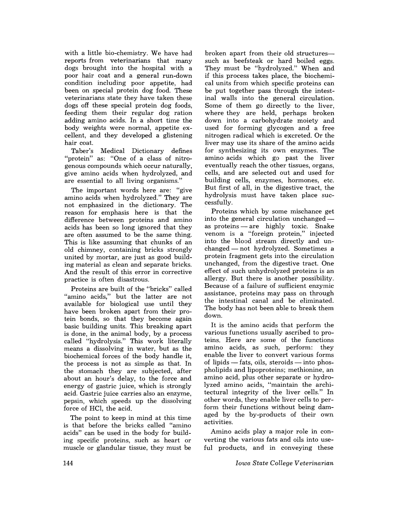with a little bio-chemistry. We have had reports from veterinarians that many dogs brought into the hospital with a poor hair coat and a general run-down condition including poar appetite, had been an special protein dog food. These veterinarians state they have taken these dogs off these special protein dog foods, feeding them their regular dog ration adding amino acids. In a short time the body weights were normal, appetite excellent, and they developed a glistening hair coat.

Taber's Medical Dictionary defines "protein" as: "One of a class of nitrogenous compounds which occur naturally, give amina acids when hydrolyzed, and are essential to all living organisms."

The impartant words here are: "give amina acids when hydrolyzed." They are not emphasized in the dictionary. The reason for emphasis here is that the difference between proteins and amino acids has been so long ignored that they are often assumed to be the same thing. This is like assuming that chunks of an old chimney, containing bricks strongly united by martar, are just as good building material as clean and separate bricks. And the result of this error in corrective practice is aften disastrous.

Proteins are built of the "bricks" called "amino acids," but the latter are not available for biological use until they have been broken apart from their protein bonds, so that they become again basic building units. This breaking apart is dane, in the animal body, by a process called "hydralysis." This work literally means a dissolving in water, but as the biochemical forces of the body handle it, the pracess is not as simple as that. In the stomach they are subjected, after about an hour's delay, to the force and energy of gastric juice, which is strongly acid. Gastric juice carries also an enzyme, pepsin, which speeds up the dissalving force of HCl, the acid.

The point to keep in mind at this time is that before the bricks called "amina acids" can be used in the body for building specific proteins, such as heart or muscle or glandular tissue, they must be broken apart from their old structuressuch as beefsteak or hard boiled eggs. They must be "hydrolyzed." When and if this process takes place, the biochemical units from which specific proteins can be put together pass through the intestinal walls into the general circulation. Some of them go directly to the liver, where they are held, perhaps broken down into a carbohydrate moiety and used for forming glycogen and a free nitrogen radical which is excreted. Or the liver may use its share of the amino acids for synthesizing its own enzymes. The amino acids which go past the liver eventually reach the other tissues, organs, cells, and are selected out and used for building cells, enzymes, hormones, etc. But first of all, in the digestive tract, the hydrolysis must have taken place successfully.

Proteins which by some mischance get into the general circulation unchanged as proteins - are highly toxic. Snake venom is a "foreign protein," injected into the blood stream directly and un $changed - not hydrolyzed. Sometimes a$ protein fragment gets into the circulation unchanged, from the digestive tract. One effect of such unhydrolyzed proteins is an allergy. But there is another possibility. Because of a failure of sufficient enzymic assistance, proteins may pass on through the intestinal canal and be eliminated. The body has not been able to break them down.

It is the amino acids that perform the various functions usually ascribed to proteins. Here are some of the functions amino acids, as such, perform: they enable the liver to convert various forms of lipids  $-$  fats, oils, steroids  $-$  into phospholipids and lipoprateins; methionine, an amino acid, plus other separate or hydrolyzed amino acids, "maintain the architectural integrity of the liver cells." In ather wards, they enable liver cells to perform their functions without being damaged by the by-products af their own activities.

Amino acids playa major role in converting the various fats and oils into useful products, and in conveying these

*Iowa State College Veterinarian*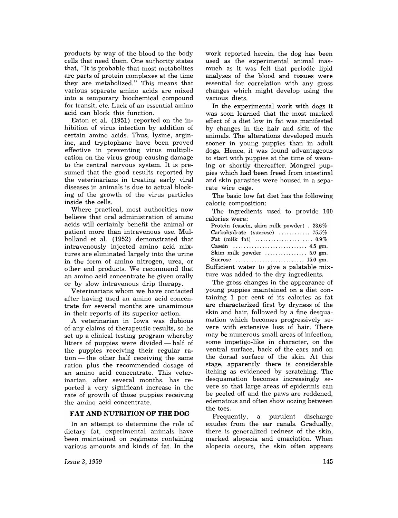products by way of the blood to the body cells that need them. One authority states that, "It is probable that most metabolites are parts of protein complexes at the time they are metabolized." This means that various separate amino acids are mixed into a temporary biochemical compound for transit, etc. Lack of an essential amino acid can block this function.

Eaton et al. (1951) reported on the inhibition of virus infection by addition of certain amino acids. Thus, lysine, arginine, and tryptophane have been proved effective in preventing virus multiplication on the virus group causing damage to the central nervous system. It is presumed that the good results reported by the veterinarians in treating early viral diseases in animals is due to actual blocking of the growth of the virus particles inside the cells.

Where practical, most authorities now believe that oral administration of amino acids will certainly benefit the animal or patient more than intravenous use. Mulholland et al. (1952) demonstrated that intravenously injected amino acid mixtures are eliminated largely into the urine in the form of amino nitrogen, urea, or other end products. We recommend that an amino acid concentrate be given orally or by slow intravenous drip therapy.

Veterinarians whom we have contacted after having used an amino acid concentrate for several months are unamimous in their reports of its superior action.

A veterinarian in Iowa was dubious of any daims of therapeutic results, so he set up a clinical testing program whereby litters of puppies were divided - half of the puppies receiving their regular ra $tion$  — the other half receiving the same ration plus the recommended dosage of an amino acid concentrate. This veterinarian, after several months, has reported a very significant increase in the rate of growth of those puppies receiving the amino acid concentrate.

## **FAT AND NUTRITION OF THE DOG**

In an attempt to determine the role of dietary fat, experimental animals have been maintained on regimens containing various amounts and kinds of fat. In the

work reported herein, the dog has been used as the experimental animal inasmuch as it was felt that periodic lipid analyses of the blood and tissues were essential for correlation with any gross changes which might develop using the various diets.

In the experimental work with dogs it was soon learned that the most marked effect of a diet low in fat was manifested by changes in the hair and skin of the animals. The alterations developed much sooner in young puppies than in adult dogs. Hence, it was found advantageous to start with puppies at the time of weaning or shortly thereafter. Mongrel puppies which had heen freed from intestinal and skin parasites were housed in a separate wire cage.

The basic low fat diet has the following caloric composition:

The ingredients used to provide 100 calories were:

| Protein (casein, skim milk powder). $23.6\%$                               |
|----------------------------------------------------------------------------|
|                                                                            |
|                                                                            |
|                                                                            |
| Skim milk powder $\dots\dots\dots\dots\dots$ 5.0 gm.                       |
| Sucrose $\ldots \ldots \ldots \ldots \ldots \ldots \ldots \ldots 15.0$ gm. |
| Sufficient water to give a palatable mix-                                  |
|                                                                            |

ture was added to the dry ingredients. The gross changes in the appearance of

young puppies maintained on a diet containing 1 per cent of its calories as fat are characterized first by dryness of the skin and hair, followed by a fine desquamation which becomes progressively severe with extensive loss of hair. There may be numerous small areas of infection, some impetigo-like in character, on the ventral surface, back of the ears and on the dorsal surface of the skin. At this stage, apparently there is considerable itching as evidenced by scratching. The desquamation becomes increasingly severe so that large areas of epidermis can be peeled off and the paws are reddened, edematous and often show oozing between

the toes.<br>Frequently, a purulent discharge exudes from the ear canals. Gradually, there is generalized redness of the skin, marked alopecia and emaciation. When alopecia occurs, the skin often appears